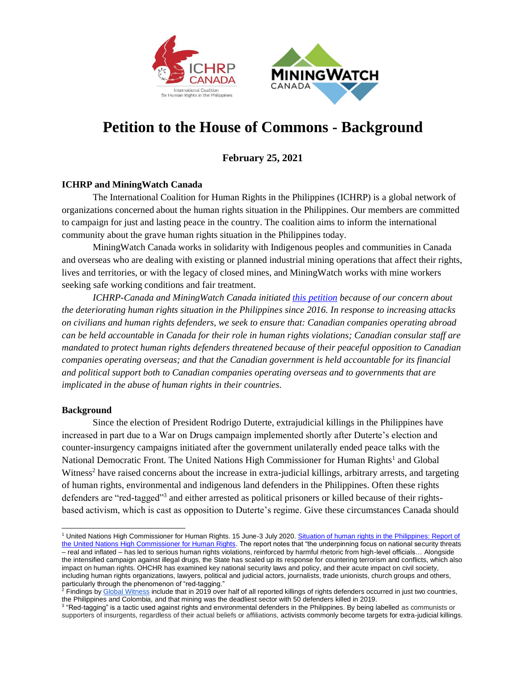



## **Petition to the House of Commons - Background**

**February 25, 2021**

## **ICHRP and MiningWatch Canada**

The International Coalition for Human Rights in the Philippines (ICHRP) is a global network of organizations concerned about the human rights situation in the Philippines. Our members are committed to campaign for just and lasting peace in the country. The coalition aims to inform the international community about the grave human rights situation in the Philippines today.

MiningWatch Canada works in solidarity with Indigenous peoples and communities in Canada and overseas who are dealing with existing or planned industrial mining operations that affect their rights, lives and territories, or with the legacy of closed mines, and MiningWatch works with mine workers seeking safe working conditions and fair treatment.

*ICHRP-Canada and MiningWatch Canada initiated [this petition](https://petitions.ourcommons.ca/en/Petition/Details?Petition=e-2820) because of our concern about the deteriorating human rights situation in the Philippines since 2016. In response to increasing attacks on civilians and human rights defenders, we seek to ensure that: Canadian companies operating abroad can be held accountable in Canada for their role in human rights violations; Canadian consular staff are mandated to protect human rights defenders threatened because of their peaceful opposition to Canadian companies operating overseas; and that the Canadian government is held accountable for its financial and political support both to Canadian companies operating overseas and to governments that are implicated in the abuse of human rights in their countries.*

## **Background**

Since the election of President Rodrigo Duterte, extrajudicial killings in the Philippines have increased in part due to a War on Drugs campaign implemented shortly after Duterte's election and counter-insurgency campaigns initiated after the government unilaterally ended peace talks with the National Democratic Front. The United Nations High Commissioner for Human Rights<sup>1</sup> and Global Witness<sup>2</sup> have raised concerns about the increase in extra-judicial killings, arbitrary arrests, and targeting of human rights, environmental and indigenous land defenders in the Philippines. Often these rights defenders are "red-tagged"<sup>3</sup> and either arrested as political prisoners or killed because of their rightsbased activism, which is cast as opposition to Duterte's regime. Give these circumstances Canada should

<sup>1</sup> United Nations High Commissioner for Human Rights. 15 June-3 July 2020. [Situation of human rights in the Philippines: Report of](https://www.ohchr.org/Documents/Countries/PH/Philippines-HRC44-AEV.pdf)  [the United Nations High Commissioner for Human Rights.](https://www.ohchr.org/Documents/Countries/PH/Philippines-HRC44-AEV.pdf) The report notes that "the underpinning focus on national security threats – real and inflated – has led to serious human rights violations, reinforced by harmful rhetoric from high-level officials… Alongside the intensified campaign against illegal drugs, the State has scaled up its response for countering terrorism and conflicts, which also impact on human rights. OHCHR has examined key national security laws and policy, and their acute impact on civil society, including human rights organizations, lawyers, political and judicial actors, journalists, trade unionists, church groups and others, particularly through the phenomenon of "red-tagging."

<sup>&</sup>lt;sup>2</sup> Findings b[y Global Witness](https://www.globalwitness.org/documents/19938/Defending_Tomorrow_EN_high_res_-_July_2020.pdf) include that in 2019 over half of all reported killings of rights defenders occurred in just two countries, the Philippines and Colombia, and that mining was the deadliest sector with 50 defenders killed in 2019.

<sup>&</sup>lt;sup>3</sup> "Red-tagging" is a tactic used against rights and environmental defenders in the Philippines. By being labelled as communists or supporters of insurgents, regardless of their actual beliefs or affiliations, activists commonly become targets for extra-judicial killings.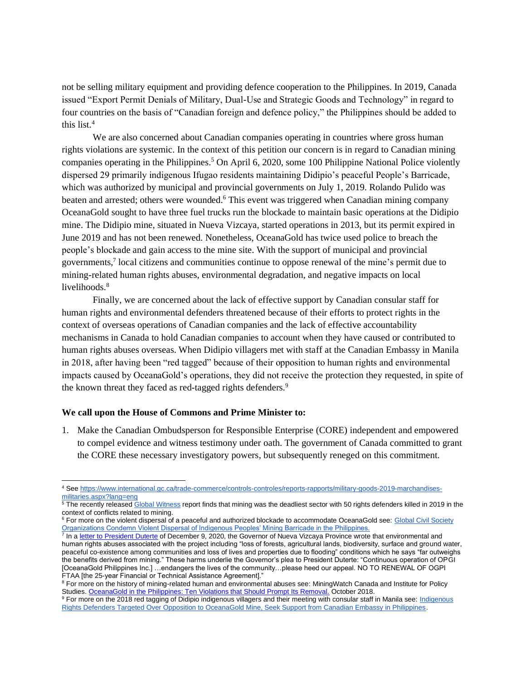not be selling military equipment and providing defence cooperation to the Philippines. In 2019, Canada issued "Export Permit Denials of Military, Dual-Use and Strategic Goods and Technology" in regard to four countries on the basis of "Canadian foreign and defence policy," the Philippines should be added to this list.<sup>4</sup>

We are also concerned about Canadian companies operating in countries where gross human rights violations are systemic. In the context of this petition our concern is in regard to Canadian mining companies operating in the Philippines.<sup>5</sup> On April 6, 2020, some 100 Philippine National Police violently dispersed 29 primarily indigenous Ifugao residents maintaining Didipio's peaceful People's Barricade, which was authorized by municipal and provincial governments on July 1, 2019. Rolando Pulido was beaten and arrested; others were wounded.<sup>6</sup> This event was triggered when Canadian mining company OceanaGold sought to have three fuel trucks run the blockade to maintain basic operations at the Didipio mine. The Didipio mine, situated in Nueva Vizcaya, started operations in 2013, but its permit expired in June 2019 and has not been renewed. Nonetheless, OceanaGold has twice used police to breach the people's blockade and gain access to the mine site. With the support of municipal and provincial governments,<sup>7</sup> local citizens and communities continue to oppose renewal of the mine's permit due to mining-related human rights abuses, environmental degradation, and negative impacts on local livelihoods.<sup>8</sup>

Finally, we are concerned about the lack of effective support by Canadian consular staff for human rights and environmental defenders threatened because of their efforts to protect rights in the context of overseas operations of Canadian companies and the lack of effective accountability mechanisms in Canada to hold Canadian companies to account when they have caused or contributed to human rights abuses overseas. When Didipio villagers met with staff at the Canadian Embassy in Manila in 2018, after having been "red tagged" because of their opposition to human rights and environmental impacts caused by OceanaGold's operations, they did not receive the protection they requested, in spite of the known threat they faced as red-tagged rights defenders.<sup>9</sup>

## **We call upon the House of Commons and Prime Minister to:**

1. Make the Canadian Ombudsperson for Responsible Enterprise (CORE) independent and empowered to compel evidence and witness testimony under oath. The government of Canada committed to grant the CORE these necessary investigatory powers, but subsequently reneged on this commitment.

<sup>4</sup> Se[e https://www.international.gc.ca/trade-commerce/controls-controles/reports-rapports/military-goods-2019-marchandises](https://www.international.gc.ca/trade-commerce/controls-controles/reports-rapports/military-goods-2019-marchandises-militaries.aspx?lang=eng)[militaries.aspx?lang=eng](https://www.international.gc.ca/trade-commerce/controls-controles/reports-rapports/military-goods-2019-marchandises-militaries.aspx?lang=eng)

<sup>&</sup>lt;sup>5</sup> The recently release[d Global Witness](https://www.globalwitness.org/documents/19938/Defending_Tomorrow_EN_high_res_-_July_2020.pdf) report finds that mining was the deadliest sector with 50 rights defenders killed in 2019 in the context of conflicts related to mining.

<sup>&</sup>lt;sup>6</sup> For more on the violent dispersal of a peaceful and authorized blockade to accommodate OceanaGold see: Global Civil Society [Organizations Condemn Violent Dispersal of Indigenous Peoples' Mining Barricade in the Philippines.](https://miningwatch.ca/news/2020/4/29/global-civil-society-organizations-condemn-violent-dispersal-indigenous-peoples)<br><sup>7</sup> In a <u>letter to President Duterte</u> of December 9, 2020, the Governor of Nueva Vizcaya Province wrote that environmenta

human rights abuses associated with the project including "loss of forests, agricultural lands, biodiversity, surface and ground water, peaceful co-existence among communities and loss of lives and properties due to flooding" conditions which he says "far outweighs the benefits derived from mining." These harms underlie the Governor's plea to President Duterte: "Continuous operation of OPGI [OceanaGold Philippines Inc.] …endangers the lives of the community…please heed our appeal. NO TO RENEWAL OF OGPI FTAA [the 25-year Financial or Technical Assistance Agreement]."

<sup>&</sup>lt;sup>8</sup> For more on the history of mining-related human and environmental abuses see: MiningWatch Canada and Institute for Policy Studies. OceanaGold in the Philippines: [Ten Violations that Should Prompt Its Removal.](https://miningwatch.ca/sites/default/files/oceanagold-report.pdf) October 2018.

<sup>9</sup> For more on the 2018 red tagging of Didipio indigenous villagers and their meeting with consular staff in Manila see[: Indigenous](https://miningwatch.ca/news/2018/12/18/indigenous-rights-defenders-targeted-over-opposition-oceanagold-mine-seek-support)  [Rights Defenders Targeted Over Opposition to OceanaGold Mine, Seek Support from Canadian Embassy in Philippines.](https://miningwatch.ca/news/2018/12/18/indigenous-rights-defenders-targeted-over-opposition-oceanagold-mine-seek-support)